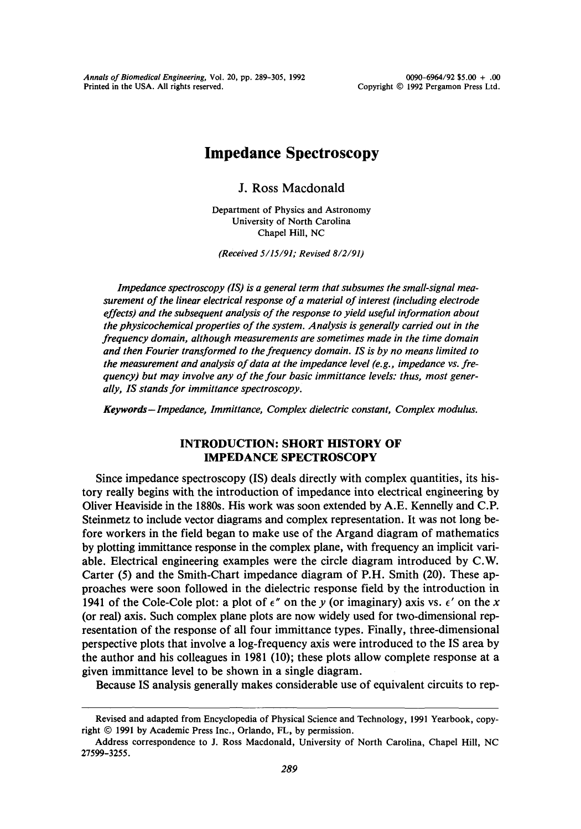*Annals of Biomedical Engineering, Vol. 20, pp. 289-305, 1992* 6090-6964/92 \$5.00 + .00<br>Printed in the USA. All rights reserved. Copyright © 1992 Pergamon Press Ltd.

Copyright © 1992 Pergamon Press Ltd.

# **Impedance Spectroscopy**

J. ROSS Macdonald

Department of Physics and Astronomy University of North Carolina Chapel Hill, NC

*(Received 5/15/91; Revised 8/2/91)* 

*Impedance spectroscopy (IS) is a general term that subsumes the small-signal measurement of the linear electrical response of a material of interest (including electrode effects) and the subsequent analysis of the response to yield useful information about the physicochemical properties of the system. Analysis is generally carried out in the frequency domain, although measurements are sometimes made in the time domain and then Fourier transformed to the frequency domain. IS is by no means limited to the measurement and analysis of data at the impedance level (e.g., impedance vs. frequency) but may involve any of the four basic immittance levels: thus, most generally, IS stands for immittance spectroscopy.* 

*Keywords--Impedance, Immittance, Complex dielectric constant, Complex modulus.* 

## **INTRODUCTION: SHORT HISTORY OF IMPEDANCE SPECTROSCOPY**

Since impedance spectroscopy (IS) deals directly with complex quantities, its history really begins with the introduction of impedance into electrical engineering by Oliver Heaviside in the 1880s. His work was soon extended by A.E. Kennelly and C.P. Steinmetz to include vector diagrams and complex representation. It was not long before workers in the field began to make use of the Argand diagram of mathematics by plotting immittance response in the complex plane, with frequency an implicit variable. Electrical engineering examples were the circle diagram introduced by C.W. Carter (5) and the Smith-Chart impedance diagram of P.H. Smith (20). These approaches were soon followed in the dielectric response field by the introduction in 1941 of the Cole-Cole plot: a plot of  $\epsilon''$  on the y (or imaginary) axis vs.  $\epsilon'$  on the x (or real) axis. Such complex plane plots are now widely used for two-dimensional representation of the response of all four immittance types. Finally, three-dimensional perspective plots that involve a log-frequency axis were introduced to the IS area by the author and his colleagues in 1981 (10); these plots allow complete response at a given immittance level to be shown in a single diagram.

Because IS analysis generally makes considerable use of equivalent circuits to rep-

Revised and adapted from Encyclopedia of Physical Science and Technology, 1991 Yearbook, copyright © 1991 by Academic Press Inc., Orlando, FL, by permission.

Address correspondence to J. Ross Macdonald, University of North Carolina, Chapel Hill, NC 27599-3255.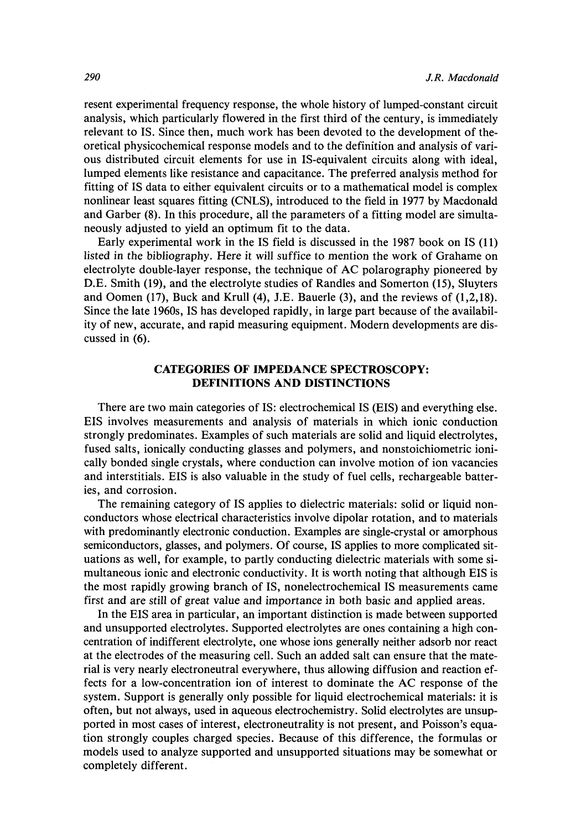resent experimental frequency response, the whole history of lumped-constant circuit analysis, which particularly flowered in the first third of the century, is immediately relevant to IS. Since then, much work has been devoted to the development of theoretical physicochemical response models and to the definition and analysis of various distributed circuit elements for use in IS-equivalent circuits along with ideal, lumped elements like resistance and capacitance. The preferred analysis method for fitting of IS data to either equivalent circuits or to a mathematical model is complex nonlinear least squares fitting (CNLS), introduced to the field in 1977 by Macdonald and Garber (8). In this procedure, all the parameters of a fitting model are simultaneously adjusted to yield an optimum fit to the data.

Early experimental work in the IS field is discussed in the 1987 book on IS (11) listed in the bibliography. Here it will suffice to mention the work of Grahame on electrolyte double-layer response, the technique of AC polarography pioneered by D.E. Smith (19), and the electrolyte studies of Randles and Somerton (15), Sluyters and Oomen (17), Buck and Krull (4), J.E. Bauerle (3), and the reviews of (1,2,18). Since the late 1960s, IS has developed rapidly, in large part because of the availability of new, accurate, and rapid measuring equipment. Modern developments are discussed in (6).

### CATEGORIES OF IMPEDANCE SPECTROSCOPY: DEFINITIONS AND DISTINCTIONS

There are two main categories of IS: electrochemical IS (EIS) and everything else. EIS involves measurements and analysis of materials in which ionic conduction strongly predominates. Examples of such materials are solid and liquid electrolytes, fused salts, ionically conducting glasses and polymers, and nonstoichiometric ionically bonded single crystals, where conduction can involve motion of ion vacancies and interstitials. EIS is also valuable in the study of fuel cells, rechargeable batteries, and corrosion.

The remaining category of IS applies to dielectric materials: solid or liquid nonconductors whose electrical characteristics involve dipolar rotation, and to materials with predominantly electronic conduction. Examples are single-crystal or amorphous semiconductors, glasses, and polymers. Of course, IS applies to more complicated situations as well, for example, to partly conducting dielectric materials with some simultaneous ionic and electronic conductivity. It is worth noting that although EIS is the most rapidly growing branch of IS, nonelectrochemical IS measurements came first and are still of great value and importance in both basic and applied areas.

In the EIS area in particular, an important distinction is made between supported and unsupported electrolytes. Supported electrolytes are ones containing a high concentration of indifferent electrolyte, one whose ions generally neither adsorb nor react at the electrodes of the measuring ceil. Such an added salt can ensure that the material is very nearly electroneutral everywhere, thus allowing diffusion and reaction effects for a low-concentration ion of interest to dominate the AC response of the system. Support is generally only possible for liquid electrochemical materials: it is often, but not always, used in aqueous electrochemistry. Solid electrolytes are unsupported in most cases of interest, electroneutrality is not present, and Poisson's equation strongly couples charged species. Because of this difference, the formulas or models used to analyze supported and unsupported situations may be somewhat or completely different.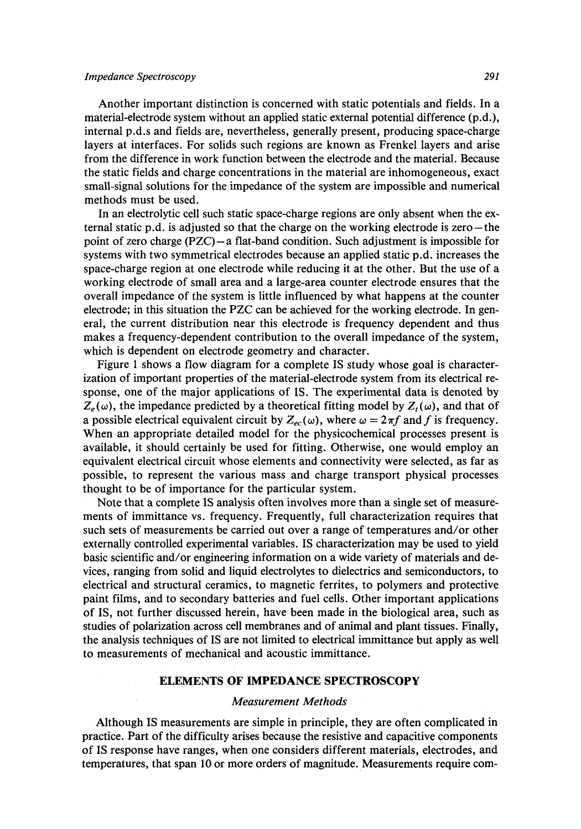### *Impedance Spectroscopy 291*

Another important distinction is concerned with static potentials and fields. In a material-electrode system without an applied static external potential difference (p.d.), internal p.d.s and fields are, nevertheless, generally present, producing space-charge layers at interfaces. For solids such regions are known as Frenkel layers and arise from the difference in work function between the electrode and the material. Because the static fields and charge concentrations in the material are inhomogeneous, exact small-signal solutions for the impedance of the system are impossible and numerical methods must be used.

In an electrolytic cell such static space-charge regions are only absent when the external static p.d. is adjusted so that the charge on the working electrode is zero-the point of zero charge (PZC)-a flat-band condition. Such adjustment is impossible for systems with two symmetrical electrodes because an applied static p.d. increases the space-charge region at one electrode while reducing it at the other. But the use of a working electrode of small area and a large-area counter electrode ensures that the overall impedance of the system is little influenced by what happens at the counter electrode; in this situation the PZC can be achieved for the working electrode. In general, the current distribution near this electrode is frequency dependent and thus makes a frequency-dependent contribution to the overall impedance of the system, which is dependent on electrode geometry and character.

Figure 1 shows a flow diagram for a complete IS study whose goal is characterization of important properties of the material-electrode system from its electrical response, one of the major applications of IS. The experimental data is denoted by  $Z_e(\omega)$ , the impedance predicted by a theoretical fitting model by  $Z_t(\omega)$ , and that of a possible electrical equivalent circuit by  $Z_{ec}(\omega)$ , where  $\omega = 2\pi f$  and f is frequency. When an appropriate detailed model for the physicochemical processes present is available, it should certainly be used for fitting. Otherwise, one would employ an equivalent electrical circuit whose elements and connectivity were selected, as far as possible, to represent the various mass and charge transport physical processes thought to be of importance for the particular system.

Note that a complete IS analysis often involves more than a single set of measurements of immittance vs. frequency. Frequently, full characterization requires that such sets of measurements be carried out over a range of temperatures and/or other externally controlled experimental variables. IS characterization may be used to yield basic scientific and/or engineering information on a wide variety of materials and devices, ranging from solid and liquid electrolytes to dielectrics and semiconductors, to electrical and structural ceramics, to magnetic ferrites, to polymers and protective paint films, and to secondary batteries and fuel cells. Other important applications of IS, not further discussed herein, have been made in the biological area, such as studies of polarization across cell membranes and of animal and plant tissues. Finally, the analysis techniques of IS are not limited to electrical immittance but apply as well to measurements of mechanical and acoustic immittance.

### **ELEMENTS OF IMPEDANCE SPECTROSCOPY**

### *Measurement Methods*

Although IS measurements are simple in principle, they are often complicated in practice. Part of the difficulty arises because the resistive and capacitive components of IS response have ranges, when one considers different materials, electrodes, and temperatures, that span 10 or more orders of magnitude. Measurements require com-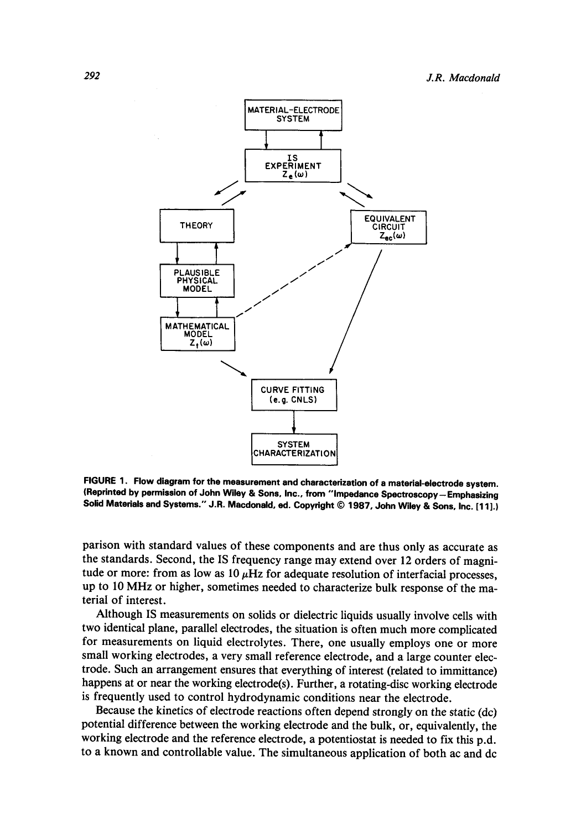

**FIGURE 1. Flow diagram for the measurement and characterization of a material-electrode system. (Reprinted by permission of John Wiley & Sons, Inc., from "Impedance Spectroscopy--Emphasizing**  Solid Materials and Systems." J.R. Macdonald, ed. Copyright © 1987, John Wiley & Sons, Inc. [11].}

parison with standard values of these components and are thus only as accurate as the standards. Second, the IS frequency range may extend over 12 orders of magnitude or more: from as low as  $10~\mu$ Hz for adequate resolution of interfacial processes, up to 10 MHz or higher, sometimes needed to characterize bulk response of the material of interest.

Although IS measurements on solids or dielectric liquids usually involve cells with two identical plane, parallel electrodes, the situation is often much more complicated for measurements on liquid electrolytes. There, one usually employs one or more small working electrodes, a very small reference electrode, and a large counter electrode. Such an arrangement ensures that everything of interest (related to immittance) happens at or near the working electrode(s). Further, a rotating-disc working electrode is frequently used to control hydrodynamic conditions near the electrode.

Because the kinetics of electrode reactions often depend strongly on the static (dc) potential difference between the working electrode and the bulk, or, equivalently, the working electrode and the reference electrode, a potentiostat is needed to fix this p.d. to a known and controllable value. The simultaneous application of both ac and dc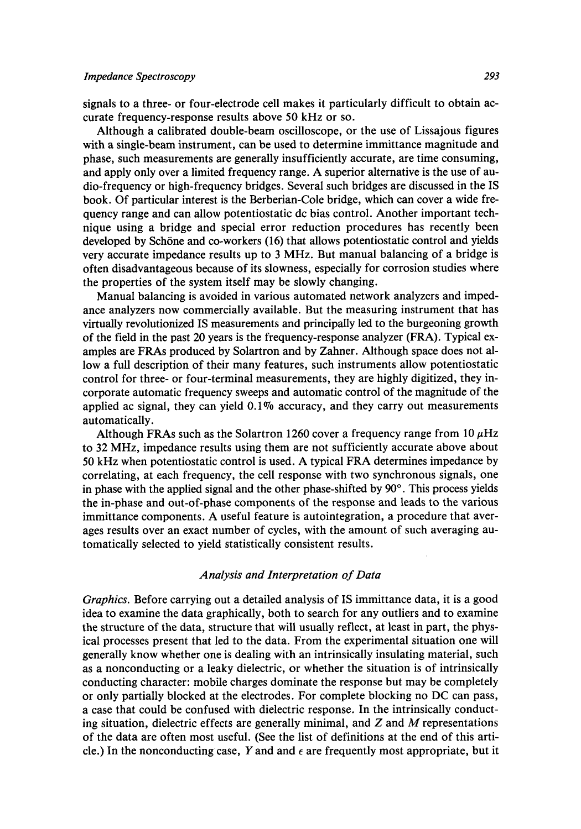signals to a three- or four-electrode cell makes it particularly difficult to obtain accurate frequency-response results above 50 kHz or so.

Although a calibrated double-beam oscilloscope, or the use of Lissajous figures with a single-beam instrument, can be used to determine immittance magnitude and phase, such measurements are generally insufficiently accurate, are time consuming, and apply only over a limited frequency range. A superior alternative is the use of audio-frequency or high-frequency bridges. Several such bridges are discussed in the IS book. Of particular interest is the Berberian-Cole bridge, which can cover a wide frequency range and can allow potentiostatic dc bias control. Another important technique using a bridge and special error reduction procedures has recently been developed by Schöne and co-workers (16) that allows potentiostatic control and yields very accurate impedance results up to 3 MHz. But manual balancing of a bridge is often disadvantageous because of its slowness, especially for corrosion studies where the properties of the system itself may be slowly changing.

Manual balancing is avoided in various automated network analyzers and impedance analyzers now commercially available. But the measuring instrument that has virtually revolutionized IS measurements and principally led to the burgeoning growth of the field in the past 20 years is the frequency-response analyzer (FRA). Typical examples are FRAs produced by Solartron and by Zahner. Although space does not allow a full description of their many features, such instruments allow potentiostatic control for three- or four-terminal measurements, they are highly digitized, they incorporate automatic frequency sweeps and automatic control of the magnitude of the applied ac signal, they can yield 0.1% accuracy, and they carry out measurements automatically.

Although FRAs such as the Solartron 1260 cover a frequency range from 10  $\mu$ Hz to 32 MHz, impedance results using them are not sufficiently accurate above about 50 kHz when potentiostatic control is used. A typical FRA determines impedance by correlating, at each frequency, the cell response with two synchronous signals, one in phase with the applied signal and the other phase-shifted by  $90^\circ$ . This process yields the in-phase and out-of-phase components of the response and leads to the various immittance components. A useful feature is autointegration, a procedure that averages results over an exact number of cycles, with the amount of such averaging automatically selected to yield statistically consistent results.

### *Analysis and Interpretation of Data*

*Graphics.* Before carrying out a detailed analysis of IS immittance data, it is a good idea to examine the data graphically, both to search for any outliers and to examine the structure of the data, structure that will usually reflect, at least in part, the physical processes present that led to the data. From the experimental situation one will generally know whether one is dealing with an intrinsically insulating material, such as a nonconducting or a leaky dielectric, or whether the situation is of intrinsically conducting character: mobile charges dominate the response but may be completely or only partially blocked at the electrodes. For complete blocking no DC can pass, a case that could be confused with dielectric response. In the intrinsically conducting situation, dielectric effects are generally minimal, and  $Z$  and  $M$  representations of the data are often most useful. (See the list of definitions at the end of this article.) In the nonconducting case, Y and and  $\epsilon$  are frequently most appropriate, but it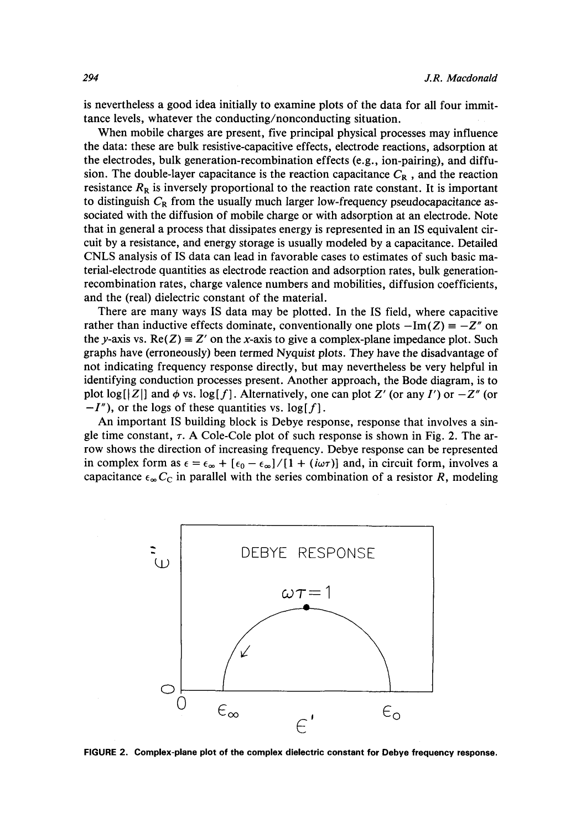is nevertheless a good idea initially to examine plots of the data for all four immittance levels, whatever the conducting/nonconducting situation.

When mobile charges are present, five principal physical processes may influence the data: these are bulk resistive-capacitive effects, electrode reactions, adsorption at the electrodes, bulk generation-recombination effects (e.g., ion-pairing), and diffusion. The double-layer capacitance is the reaction capacitance  $C_R$ , and the reaction resistance  $R_R$  is inversely proportional to the reaction rate constant. It is important to distinguish  $C_R$  from the usually much larger low-frequency pseudocapacitance associated with the diffusion of mobile charge or with adsorption at an electrode. Note that in general a process that dissipates energy is represented in an IS equivalent circuit by a resistance, and energy storage is usually modeled by a capacitance. Detailed CNLS analysis of IS data can lead in favorable cases to estimates of such basic material-electrode quantities as electrode reaction and adsorption rates, bulk generationrecombination rates, charge valence numbers and mobilities, diffusion coefficients, and the (real) dielectric constant of the material.

There are many ways IS data may be plotted. In the IS field, where capacitive rather than inductive effects dominate, conventionally one plots  $-\text{Im}(Z) = -Z''$  on the y-axis vs.  $Re(Z) = Z'$  on the x-axis to give a complex-plane impedance plot. Such graphs have (erroneously) been termed Nyquist plots. They have the disadvantage of not indicating frequency response directly, but may nevertheless be very helpful in identifying conduction processes present. Another approach, the Bode diagram, is to plot  $log[|Z|]$  and  $\phi$  vs.  $log[f]$ . Alternatively, one can plot Z' (or any I') or  $-Z''$  (or  $-I''$ ), or the logs of these quantities vs. log[f].

An important IS building block is Debye response, response that involves a single time constant,  $\tau$ . A Cole-Cole plot of such response is shown in Fig. 2. The arrow shows the direction of increasing frequency. Debye response can be represented in complex form as  $\epsilon = \epsilon_{\infty} + [\epsilon_0 - \epsilon_{\infty}]/[1 + (i\omega\tau)]$  and, in circuit form, involves a capacitance  $\epsilon_{\infty} C_{\rm C}$  in parallel with the series combination of a resistor R, modeling



**FIGURE 2. Complex-plane plot of the complex dielectric constant for Debye frequency response.**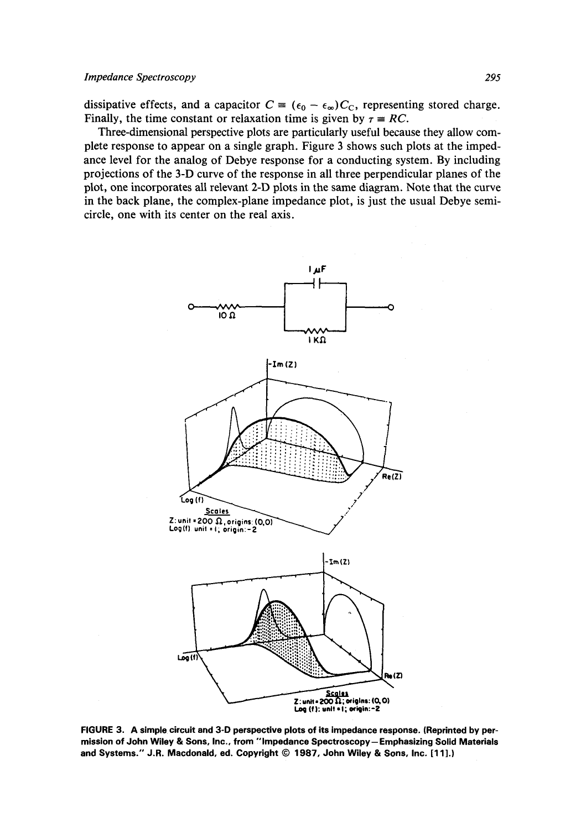dissipative effects, and a capacitor  $C = (\epsilon_0 - \epsilon_\infty)C_C$ , representing stored charge. Finally, the time constant or relaxation time is given by  $\tau = RC$ .

Three-dimensional perspective plots are particularly useful because they allow complete response to appear on a single graph. Figure 3 shows such plots at the impedance level for the analog of Debye response for a conducting system. By including projections of the 3-D curve of the response in all three perpendicular planes of the plot, one incorporates all relevant 2-D plots in the same diagram. Note that the curve in the back plane, the complex-plane impedance plot, is just the usual Debye semicircle, one with its center on the real axis.



FIGURE 3. A simple circuit and 3-D perspective plots of its impedance response. (Reprinted by permission of John Wiley & Sons, Inc., from, Impedance Spectroscopy-Emphasizing Solid **Materials**  and Systems." J.R. Macdonald, ed. Copyright © 1987, John Wiley & Sons, Inc. [11].)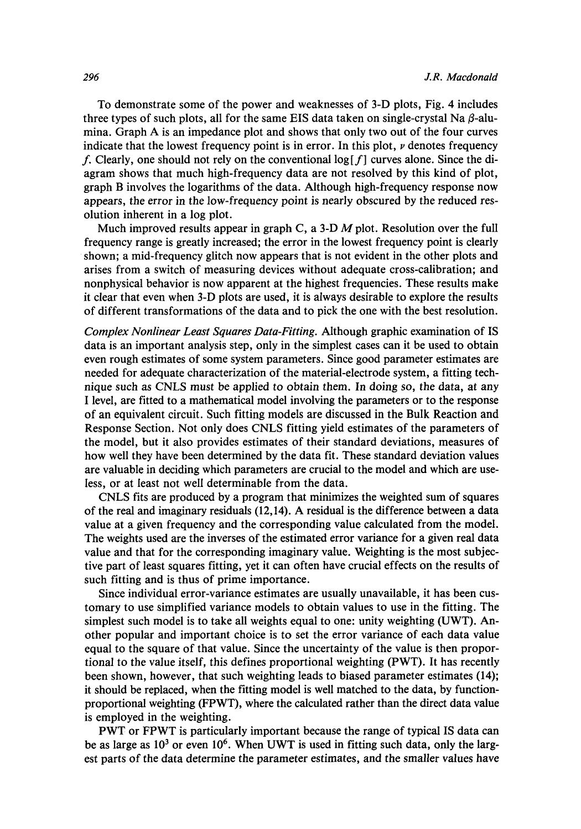To demonstrate some of the power and weaknesses of 3-D plots, Fig. 4 includes three types of such plots, all for the same EIS data taken on single-crystal Na  $\beta$ -alumina. Graph A is an impedance plot and shows that only two out of the four curves indicate that the lowest frequency point is in error. In this plot,  $\nu$  denotes frequency f. Clearly, one should not rely on the conventional  $log[f]$  curves alone. Since the diagram shows that much high-frequency data are not resolved by this kind of plot, graph B involves the logarithms of the data. Although high-frequency response now appears, the error in the low-frequency point is nearly obscured by the reduced resolution inherent in a log plot.

Much improved results appear in graph C, a 3-D  $M$  plot. Resolution over the full frequency range is greatly increased; the error in the lowest frequency point is clearly shown; a mid-frequency glitch now appears that is not evident in the other plots and arises from a switch of measuring devices without adequate cross-calibration; and nonphysical behavior is now apparent at the highest frequencies. These results make it clear that even when 3-D plots are used, it is always desirable to explore the results of different transformations of the data and to pick the one with the best resolution.

*Complex Nonlinear Least Squares Data-Fitting.* Although graphic examination of IS data is an important analysis step, only in the simplest cases can it be used to obtain even rough estimates of some system parameters. Since good parameter estimates are needed for adequate characterization of the material-electrode system, a fitting technique such as CNLS must be applied to obtain them. In doing so, the data, at any I level, are fitted to a mathematical model involving the parameters or to the response of an equivalent circuit. Such fitting models are discussed in the Bulk Reaction and Response Section. Not only does CNLS fitting yield estimates of the parameters of the model, but it also provides estimates of their standard deviations, measures of how well they have been determined by the data fit. These standard deviation values are valuable in deciding which parameters are crucial to the model and which are useless, or at least not well determinable from the data.

CNLS fits are produced by a program that minimizes the weighted sum of squares of the real and imaginary residuals (12,14). A residual is the difference between a data value at a given frequency and the corresponding value calculated from the model. The weights used are the inverses of the estimated error variance for a given real data value and that for the corresponding imaginary value. Weighting is the most subjective part of least squares fitting, yet it can often have crucial effects on the results of such fitting and is thus of prime importance.

Since individual error-variance estimates are usually unavailable, it has been customary to use simplified variance models to obtain values to use in the fitting. The simplest such model is to take all weights equal to one: unity weighting (UWT). Another popular and important choice is to set the error variance of each data value equal to the square of that value. Since the uncertainty of the value is then proportional to the value itself, this defines proportional weighting (PWT). It has recently been shown, however, that such weighting leads to biased parameter estimates (14); it should be replaced, when the fitting model is well matched to the data, by functionproportional weighting (FPWT), where the calculated rather than the direct data value is employed in the weighting.

PWT or FPWT is particularly important because the range of typical IS data can be as large as  $10^3$  or even  $10^6$ . When UWT is used in fitting such data, only the largest parts of the data determine the parameter estimates, and the smaller values have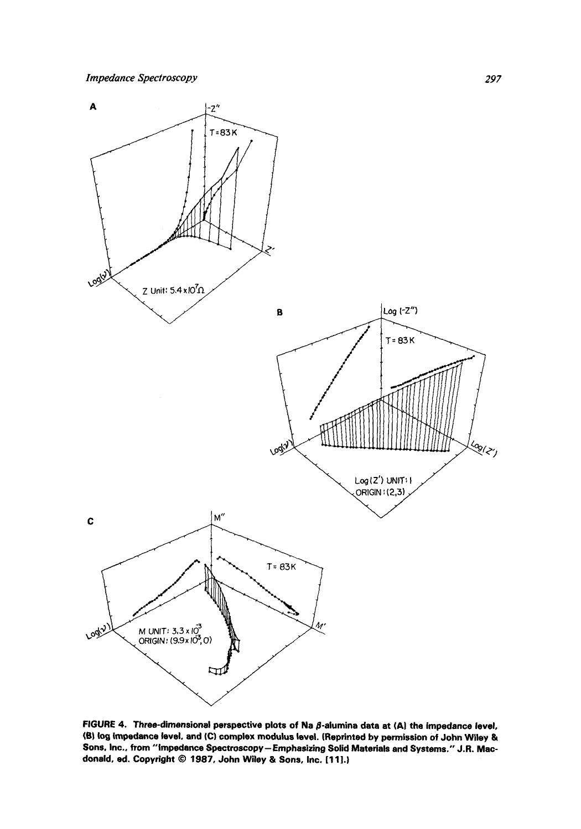

FIGURE 4. Three-dimensional perspective plots of Na  $\beta$ -alumina data at (A) the impedance level, (B~ log impedance level, and (C) complex modulus level. [Reprinted by permission of John Wiley & Sons, Inc., from "Impedance *Spectroscopy-Emphasizing* Solid Materials and Systems." J.R. Macdonald, ed. Copyright © 1987, John Wiley & Sons, Inc. [11].)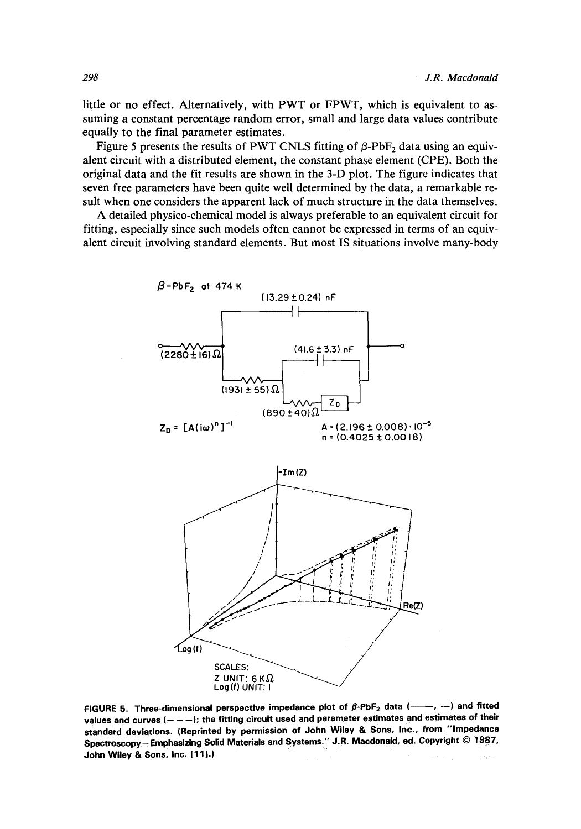little or no effect. Alternatively, with PWT or FPWT, which is equivalent to assuming a constant percentage random error, small and large data values contribute equally to the final parameter estimates.

Figure 5 presents the results of PWT CNLS fitting of  $\beta$ -PbF<sub>2</sub> data using an equivalent circuit with a distributed element, the constant phase element (CPE). Both the original data and the fit results are shown in the 3-D plot. The figure indicates that seven free parameters have been quite well determined by the data, a remarkable result when one considers the apparent lack of much structure in the data themselves.

A detailed physico-chemical model is always preferable to an equivalent circuit for fitting, especially since such models often cannot be expressed in terms of an equivalent circuit involving standard elements. But most IS situations involve many-body



**FIGURE 5.** Three-dimensional perspective impedance plot of  $\beta$ -PbF<sub>2</sub> data (----, ---) and fitted values and curves  $(- - -)$ ; the fitting circuit used and parameter estimates and estimates of their **standard deviations. (Reprinted by permission of John Wiley & Sons, Inc., from "Impedance**  Spectroscopy-Emphasizing Solid Materials and Systems." J.R. Macdonald, ed. Copyright @ 1987, **John Wiley & Sons, Inc. [11].)**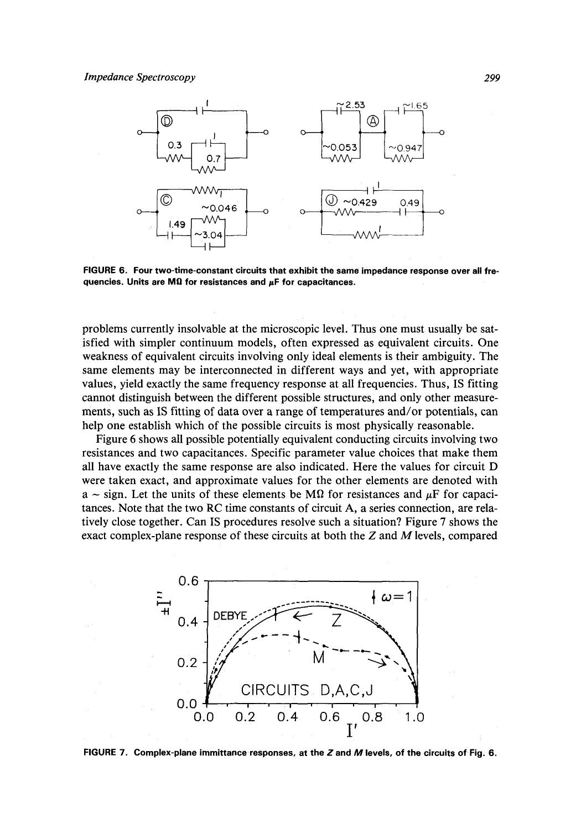

FIGURE 6. **Four two-time-constant circuits that exhibit the same impedance response over all fre**quencies. Units are  $M\Omega$  for resistances and  $\mu$ F for capacitances.

problems currently insolvable at the microscopic level. Thus one must usually be satisfied with simpler continuum models, often expressed as equivalent circuits. One weakness of equivalent circuits involving only ideal elements is their ambiguity. The same elements may be interconnected in different ways and yet, with appropriate values, yield exactly the same frequency response at all frequencies. Thus, IS fitting cannot distinguish between the different possible structures, and only other measurements, such as IS fitting of data over a range of temperatures and/or potentials, can help one establish which of the possible circuits is most physically reasonable.

Figure 6 shows all possible potentially equivalent conducting circuits involving two resistances and two capacitances. Specific parameter value choices that make them all have exactly the same response are also indicated. Here the values for circuit D were taken exact, and approximate values for the other elements are denoted with  $a \sim$  sign. Let the units of these elements be M $\Omega$  for resistances and  $\mu$ F for capacitances. Note that the two RC time constants of circuit A, a series connection, are relatively close together. Can IS procedures resolve such a situation? Figure 7 shows the exact complex-plane response of these circuits at both the  $Z$  and  $M$  levels, compared



FIGURE 7. **Complex-plane immittance responses, at the Z and M levels, of the circuits of** Fig. 6.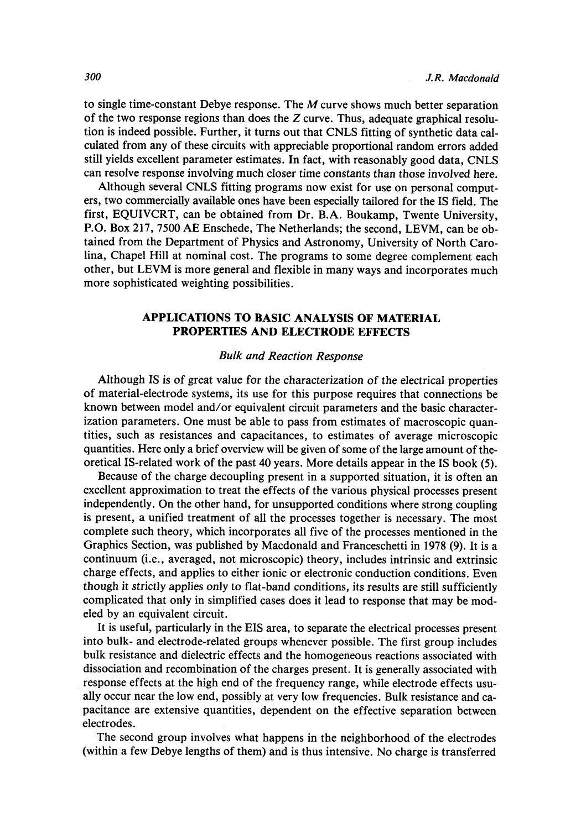to single time-constant Debye response. The M curve shows much better separation of the two response regions than does the  $Z$  curve. Thus, adequate graphical resolution is indeed possible. Further, it turns out that CNLS fitting of synthetic data calculated from any of these circuits with appreciable proportional random errors added still yields excellent parameter estimates. In fact, with reasonably good data, CNLS can resolve response involving much closer time constants than those involved here.

Although several CNLS fitting programs now exist for use on personal computers, two commercially available ones have been especially tailored for the IS field. The first, EQUIVCRT, can be obtained from Dr. B.A. Boukamp, Twente University, P.O. Box 217, 7500 AE Enschede, The Netherlands; the second, LEVM, can be obtained from the Department of Physics and Astronomy, University of North Carolina, Chapel Hill at nominal cost. The programs to some degree complement each other, but LEVM is more general and flexible in many ways and incorporates much more sophisticated weighting possibilities.

# APPLICATIONS TO BASIC ANALYSIS OF MATERIAL PROPERTIES AND ELECTRODE **EFFECTS**

### *Bulk and Reaction Response*

Although IS is of great value for the characterization of the electrical properties of material-electrode systems, its use for this purpose requires that connections be known between model and/or equivalent circuit parameters and the basic characterization parameters. One must be able to pass from estimates of macroscopic quantities, such as resistances and capacitances, to estimates of average microscopic quantities. Here only a brief overview will be given of some of the large amount of theoretical IS-related work of the past 40 years. More details appear in the IS book (5).

Because of the charge decoupling present in a supported situation, it is often an excellent approximation to treat the effects of the various physical processes present independently. On the other hand, for unsupported conditions where strong coupling is present, a unified treatment of all the processes together is necessary. The most complete such theory, which incorporates all five of the processes mentioned in the Graphics Section, was published by Macdonald and Franceschetti in 1978 (9). It is a continuum (i.e., averaged, not microscopic) theory, includes intrinsic and extrinsic charge effects, and applies to either ionic or electronic conduction conditions. Even though it strictly applies only to flat-band conditions, its results are still sufficiently complicated that only in simplified cases does it lead to response that may be modeled by an equivalent circuit.

It is useful, particularly in the EIS area, to separate the electrical processes present into bulk- and electrode-related groups whenever possible. The first group includes bulk resistance and dielectric effects and the homogeneous reactions associated with dissociation and recombination of the charges present. It is generally associated with response effects at the high end of the frequency range, while electrode effects usually occur near the low end, possibly at very low frequencies. Bulk resistance and capacitance are extensive quantities, dependent on the effective separation between electrodes.

The second group involves what happens in the neighborhood of the electrodes (within a few Debye lengths of them) and is thus intensive. No charge is transferred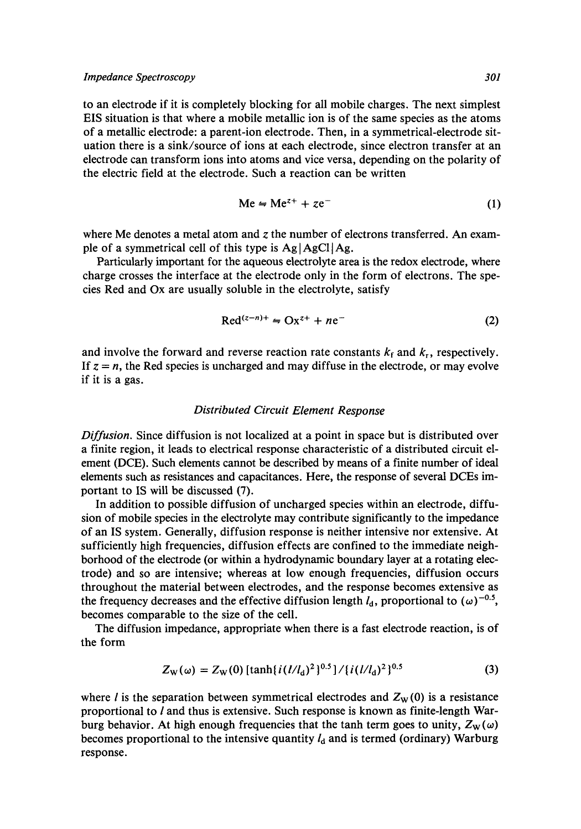to an electrode if it is completely blocking for all mobile charges. The next simplest EIS situation is that where a mobile metallic ion is of the same species as the atoms of a metallic electrode: a parent-ion electrode. Then, in a symmetrical-electrode situation there is a sink/source of ions at each electrode, since electron transfer at an electrode can transform ions into atoms and vice versa, depending on the polarity of the electric field at the electrode. Such a reaction can be written

$$
Me \approx Me^{z+} + ze^-
$$
 (1)

where Me denotes a metal atom and  $\zeta$  the number of electrons transferred. An example of a symmetrical cell of this type is  $Ag \mid AgCl \mid Ag$ .

Particularly important for the aqueous electrolyte area is the redox electrode, where charge crosses the interface at the electrode only in the form of electrons. The species Red and Ox are usually soluble in the electrolyte, satisfy

$$
Red^{(z-n)+} = Ox^{z+} + ne^{-}
$$
 (2)

and involve the forward and reverse reaction rate constants  $k_f$  and  $k_r$ , respectively. If  $z = n$ , the Red species is uncharged and may diffuse in the electrode, or may evolve if it is a gas.

### *Distributed Circuit Element Response*

*Diffusion.* Since diffusion is not localized at a point in space but is distributed over a finite region, it leads to electrical response characteristic of a distributed circuit element (DCE). Such elements cannot be described by means of a finite number of ideal elements such as resistances and capacitances. Here, the response of several DCEs important to IS will be discussed (7).

In addition to possible diffusion of uncharged species within an electrode, diffusion of mobile species in the electrolyte may contribute significantly to the impedance of an IS system. Generally, diffusion response is neither intensive nor extensive. At sufficiently high frequencies, diffusion effects are confined to the immediate neighborhood of the electrode (or within a hydrodynamic boundary layer at a rotating electrode) and so are intensive; whereas at low enough frequencies, diffusion occurs throughout the material between electrodes, and the response becomes extensive as the frequency decreases and the effective diffusion length  $l_d$ , proportional to  $(\omega)^{-0.5}$ , becomes comparable to the size of the cell.

The diffusion impedance, appropriate when there is a fast electrode reaction, is of the form

$$
Z_{\rm W}(\omega) = Z_{\rm W}(0) \left[ \tanh\{i (l/l_{\rm d})^2\}^{0.5} \right] / \{i (l/l_{\rm d})^2\}^{0.5} \tag{3}
$$

where *l* is the separation between symmetrical electrodes and  $Z_w(0)$  is a resistance proportional to l and thus is extensive. Such response is known as finite-length Warburg behavior. At high enough frequencies that the tanh term goes to unity,  $Z_w(\omega)$ becomes proportional to the intensive quantity  $l_d$  and is termed (ordinary) Warburg response.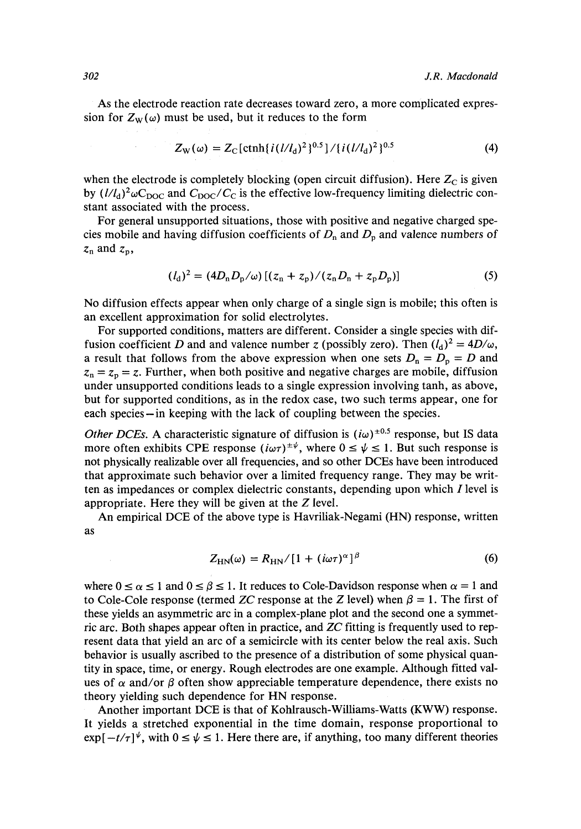As the electrode reaction rate decreases toward zero, a more complicated expression for  $Z_{W}(\omega)$  must be used, but it reduces to the form

$$
Z_{\rm W}(\omega) = Z_{\rm C}[\text{ctnh}\{i(l/l_{\rm d})^2\}^{0.5}] / \{i(l/l_{\rm d})^2\}^{0.5}
$$
 (4)

when the electrode is completely blocking (open circuit diffusion). Here  $Z_C$  is given by  $\left(\frac{l}{d}\right)^2 \omega C_{\text{DOC}}$  and  $C_{\text{DOC}}/C_{\text{C}}$  is the effective low-frequency limiting dielectric constant associated with the process.

For general unsupported situations, those with positive and negative charged species mobile and having diffusion coefficients of  $D_n$  and  $D_n$  and valence numbers of  $z_n$  and  $z_p$ ,

$$
(l_{\rm d})^2 = (4D_{\rm n}D_{\rm p}/\omega) \left[ (z_{\rm n} + z_{\rm p})/(z_{\rm n}D_{\rm n} + z_{\rm p}D_{\rm p}) \right] \tag{5}
$$

No diffusion effects appear when only charge of a single sign is mobile; this often is an excellent approximation for solid electrolytes.

For supported conditions, matters are different. Consider a single species with diffusion coefficient D and and valence number z (possibly zero). Then  $(l_d)^2 = 4D/\omega$ , a result that follows from the above expression when one sets  $D_n = D_p = D$  and  $z_n = z_n = z$ . Further, when both positive and negative charges are mobile, diffusion under unsupported conditions leads to a single expression involving tanh, as above, but for supported conditions, as in the redox case, two such terms appear, one for each species-in keeping with the lack of coupling between the species.

*Other DCEs.* A characteristic signature of diffusion is  $(i\omega)^{\pm 0.5}$  response, but IS data more often exhibits CPE response  $(i\omega\tau)^{\pm\psi}$ , where  $0 \le \psi \le 1$ . But such response is not physically realizable over all frequencies, and so other DCEs have been introduced that approximate such behavior over a limited frequency range. They may be written as impedances or complex dielectric constants, depending upon which I level is appropriate. Here they will be given at the Z level.

An empirical DCE of the above type is Havriliak-Negami (HN) response, written as

$$
Z_{\rm HN}(\omega) = R_{\rm HN}/[1 + (i\omega\tau)^{\alpha}]^{\beta} \tag{6}
$$

where  $0 \le \alpha \le 1$  and  $0 \le \beta \le 1$ . It reduces to Cole-Davidson response when  $\alpha = 1$  and to Cole-Cole response (termed *ZC* response at the *Z* level) when  $\beta = 1$ . The first of these yields an asymmetric arc in a complex-plane plot and the second one a symmetric arc. Both shapes appear often in practice, and *ZC* fitting is frequently used to represent data that yield an arc of a semicircle with its center below the real axis. Such behavior is usually ascribed to the presence of a distribution of some physical quantity in space, time, or energy. Rough electrodes are one example. Although fitted values of  $\alpha$  and/or  $\beta$  often show appreciable temperature dependence, there exists no theory yielding such dependence for HN response.

Another important DCE is that of Kohlrausch-Williams-Watts (KWW) response. It yields a stretched exponential in the time domain, response proportional to  $\exp[-t/\tau]^{\psi}$ , with  $0 \leq \psi \leq 1$ . Here there are, if anything, too many different theories

 $\sim$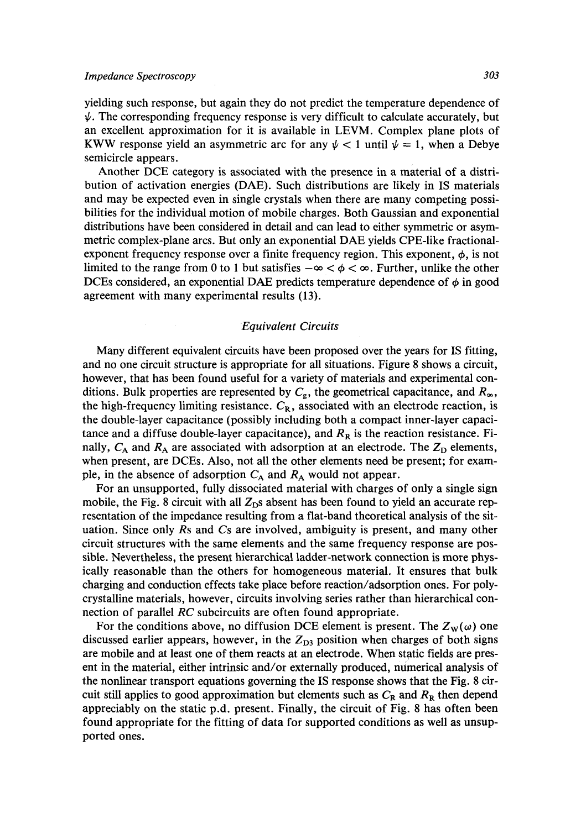yielding such response, but again they do not predict the temperature dependence of  $\psi$ . The corresponding frequency response is very difficult to calculate accurately, but an excellent approximation for it is available in LEVM. Complex plane plots of KWW response yield an asymmetric arc for any  $\psi$  < 1 until  $\psi$  = 1, when a Debye semicircle appears.

Another DCE category is associated with the presence in a material of a distribution of activation energies (DAE). Such distributions are likely in IS materials and may be expected even in single crystals when there are many competing possibilities for the individual motion of mobile charges. Both Gaussian and exponential distributions have been considered in detail and can lead to either symmetric or asymmetric complex-plane arcs. But only an exponential DAE yields CPE-like fractionalexponent frequency response over a finite frequency region. This exponent,  $\phi$ , is not limited to the range from 0 to 1 but satisfies  $-\infty < \phi < \infty$ . Further, unlike the other DCEs considered, an exponential DAE predicts temperature dependence of  $\phi$  in good agreement with many experimental results (13).

### *Equivalent Circuits*

Many different equivalent circuits have been proposed over the years for IS fitting, and no one circuit structure is appropriate for all situations. Figure 8 shows a circuit, however, that has been found useful for a variety of materials and experimental conditions. Bulk properties are represented by  $C_{\rm g}$ , the geometrical capacitance, and  $R_{\infty}$ , the high-frequency limiting resistance.  $C_R$ , associated with an electrode reaction, is the double-layer capacitance (possibly including both a compact inner-layer capacitance and a diffuse double-layer capacitance), and  $R<sub>R</sub>$  is the reaction resistance. Finally,  $C_A$  and  $R_A$  are associated with adsorption at an electrode. The  $Z_D$  elements, when present, are DCEs. Also, not all the other elements need be present; for example, in the absence of adsorption  $C_A$  and  $R_A$  would not appear.

For an unsupported, fully dissociated material with charges of only a single sign mobile, the Fig. 8 circuit with all  $Z_{\text{D}}$ s absent has been found to yield an accurate representation of the impedance resulting from a flat-band theoretical analysis of the situation. Since only Rs and Cs are involved, ambiguity is present, and many other circuit structures with the same elements and the same frequency response are possible. Nevertheless, the present hierarchical ladder-network connection is more physically reasonable than the others for homogeneous material. It ensures that bulk charging and conduction effects take place before reaction/adsorption ones. For polycrystalline materials, however, circuits involving series rather than hierarchical connection of parallel *RC* subcircuits are often found appropriate.

For the conditions above, no diffusion DCE element is present. The  $Z_w(\omega)$  one discussed earlier appears, however, in the  $Z_{D3}$  position when charges of both signs are mobile and at least one of them reacts at an electrode. When static fields are present in the material, either intrinsic and/or externally produced, numerical analysis of the nonlinear transport equations governing the IS response shows that the Fig. 8 circuit still applies to good approximation but elements such as  $C_R$  and  $R_R$  then depend appreciably on the static p.d. present. Finally, the circuit of Fig. 8 has often been found appropriate for the fitting of data for supported conditions as well as unsupported ones.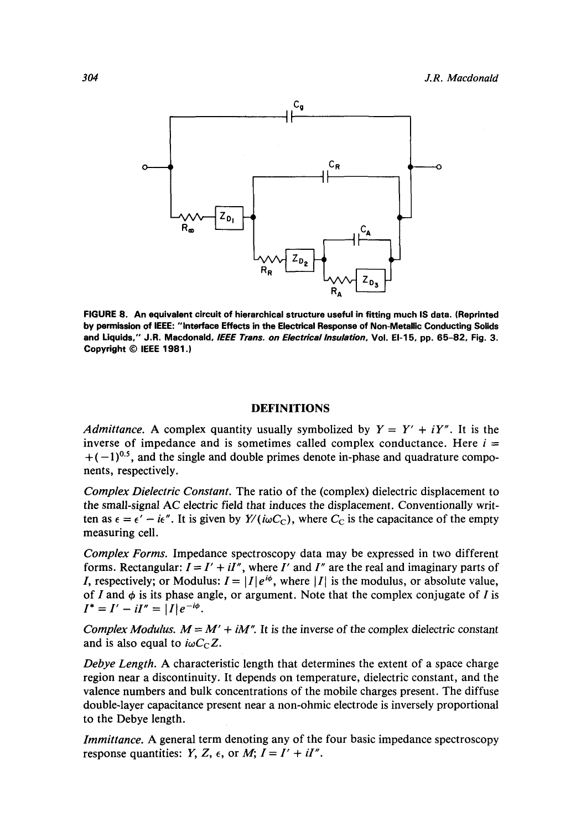

FIGURE 8. **An equivalent circuit of hierarchical structure** useful in **fitting much IS data. (Reprinted by permission of IEEE: "Interface Effects in the Electrical Response of Non-Metallic Conducting** Solids **and** Liquids," J.R. Macdonald, *IEEE Trans. on Electrical Insulation,* Vol. E1-15, pp. 65-82, Fig. 3. **Copyright** 9 IEEE 1981.)

### DEFINITIONS

*Admittance.* A complex quantity usually symbolized by  $Y = Y' + iY''$ . It is the inverse of impedance and is sometimes called complex conductance. Here  $i =$  $+ (-1)^{0.5}$ , and the single and double primes denote in-phase and quadrature components, respectively.

*Complex Dielectric Constant.* The ratio of the (complex) dielectric displacement to the small-signal AC electric field that induces the displacement. Conventionally written as  $\epsilon = \epsilon' - i\epsilon''$ . It is given by  $Y/(i\omega C_{\rm C})$ , where  $C_{\rm C}$  is the capacitance of the empty measuring cell.

*Complex Forms.* Impedance spectroscopy data may be expressed in two different forms. Rectangular:  $I = I' + iI''$ , where I' and I'' are the real and imaginary parts of *I*, respectively; or Modulus:  $I = |I|e^{i\phi}$ , where |*I*| is the modulus, or absolute value, of  $I$  and  $\phi$  is its phase angle, or argument. Note that the complex conjugate of  $I$  is  $I^* = I' - iI'' = |I|e^{-i\phi}.$ 

*Complex Modulus.*  $M = M' + iM''$ . It is the inverse of the complex dielectric constant and is also equal to  $i\omega C_{\rm C}Z$ .

*Debye Length.* A characteristic length that determines the extent of a space charge region near a discontinuity. It depends on temperature, dielectric constant, and the valence numbers and bulk concentrations of the mobile charges present. The diffuse double-layer capacitance present near a non-ohmic electrode is inversely proportional to the Debye length.

*Immittance.* A general term denoting any of the four basic impedance spectroscopy response quantities:  $Y, Z, \epsilon$ , or  $M; I = I' + iI''$ .